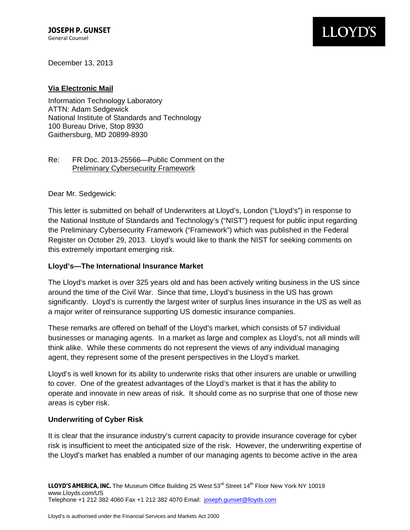December 13, 2013

### **Via Electronic Mail**

Information Technology Laboratory ATTN: Adam Sedgewick National Institute of Standards and Technology 100 Bureau Drive, Stop 8930 Gaithersburg, MD 20899-8930

### Re: FR Doc. 2013-25566—Public Comment on the Preliminary Cybersecurity Framework

Dear Mr. Sedgewick:

This letter is submitted on behalf of Underwriters at Lloyd's, London ("Lloyd's") in response to the National Institute of Standards and Technology's ("NIST") request for public input regarding the Preliminary Cybersecurity Framework ("Framework") which was published in the Federal Register on October 29, 2013. Lloyd's would like to thank the NIST for seeking comments on this extremely important emerging risk.

#### **Lloyd's—The International Insurance Market**

The Lloyd's market is over 325 years old and has been actively writing business in the US since around the time of the Civil War. Since that time, Lloyd's business in the US has grown significantly. Lloyd's is currently the largest writer of surplus lines insurance in the US as well as a major writer of reinsurance supporting US domestic insurance companies.

These remarks are offered on behalf of the Lloyd's market, which consists of 57 individual businesses or managing agents. In a market as large and complex as Lloyd's, not all minds will think alike. While these comments do not represent the views of any individual managing agent, they represent some of the present perspectives in the Lloyd's market.

Lloyd's is well known for its ability to underwrite risks that other insurers are unable or unwilling to cover. One of the greatest advantages of the Lloyd's market is that it has the ability to operate and innovate in new areas of risk. It should come as no surprise that one of those new areas is cyber risk.

#### **Underwriting of Cyber Risk**

It is clear that the insurance industry's current capacity to provide insurance coverage for cyber risk is insufficient to meet the anticipated size of the risk. However, the underwriting expertise of the Lloyd's market has enabled a number of our managing agents to become active in the area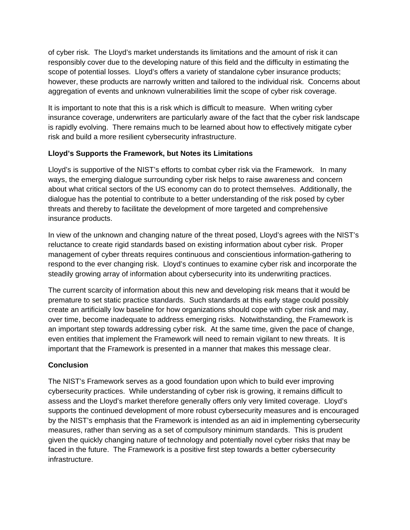of cyber risk. The Lloyd's market understands its limitations and the amount of risk it can responsibly cover due to the developing nature of this field and the difficulty in estimating the scope of potential losses. Lloyd's offers a variety of standalone cyber insurance products; however, these products are narrowly written and tailored to the individual risk. Concerns about aggregation of events and unknown vulnerabilities limit the scope of cyber risk coverage.

It is important to note that this is a risk which is difficult to measure. When writing cyber insurance coverage, underwriters are particularly aware of the fact that the cyber risk landscape is rapidly evolving. There remains much to be learned about how to effectively mitigate cyber risk and build a more resilient cybersecurity infrastructure.

# **Lloyd's Supports the Framework, but Notes its Limitations**

Lloyd's is supportive of the NIST's efforts to combat cyber risk via the Framework. In many ways, the emerging dialogue surrounding cyber risk helps to raise awareness and concern about what critical sectors of the US economy can do to protect themselves. Additionally, the dialogue has the potential to contribute to a better understanding of the risk posed by cyber threats and thereby to facilitate the development of more targeted and comprehensive insurance products.

 respond to the ever changing risk. Lloyd's continues to examine cyber risk and incorporate the In view of the unknown and changing nature of the threat posed, Lloyd's agrees with the NIST's reluctance to create rigid standards based on existing information about cyber risk. Proper management of cyber threats requires continuous and conscientious information-gathering to steadily growing array of information about cybersecurity into its underwriting practices.

The current scarcity of information about this new and developing risk means that it would be premature to set static practice standards. Such standards at this early stage could possibly create an artificially low baseline for how organizations should cope with cyber risk and may, over time, become inadequate to address emerging risks. Notwithstanding, the Framework is an important step towards addressing cyber risk. At the same time, given the pace of change, even entities that implement the Framework will need to remain vigilant to new threats. It is important that the Framework is presented in a manner that makes this message clear.

# **Conclusion**

The NIST's Framework serves as a good foundation upon which to build ever improving cybersecurity practices. While understanding of cyber risk is growing, it remains difficult to assess and the Lloyd's market therefore generally offers only very limited coverage. Lloyd's supports the continued development of more robust cybersecurity measures and is encouraged by the NIST's emphasis that the Framework is intended as an aid in implementing cybersecurity measures, rather than serving as a set of compulsory minimum standards. This is prudent given the quickly changing nature of technology and potentially novel cyber risks that may be faced in the future. The Framework is a positive first step towards a better cybersecurity infrastructure.